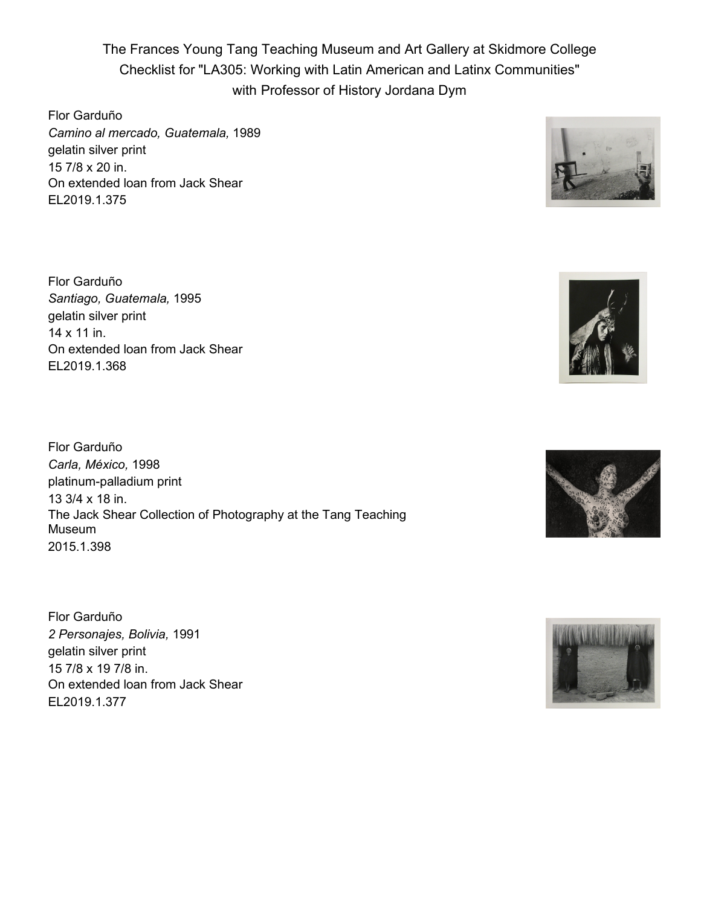The Frances Young Tang Teaching Museum and Art Gallery at Skidmore College Checklist for "LA305: Working with Latin American and Latinx Communities" with Professor of History Jordana Dym

Flor Garduño *Camino al mercado, Guatemala,* 1989 gelatin silver print 15 7/8 x 20 in. On extended loan from Jack Shear EL2019.1.375



Flor Garduño *Santiago, Guatemala,* 1995 gelatin silver print 14 x 11 in. On extended loan from Jack Shear EL2019.1.368

Flor Garduño *Carla, México,* 1998 platinum-palladium print 13 3/4 x 18 in. The Jack Shear Collection of Photography at the Tang Teaching Museum 2015.1.398

Flor Garduño *2 Personajes, Bolivia,* 1991 gelatin silver print 15 7/8 x 19 7/8 in. On extended loan from Jack Shear EL2019.1.377



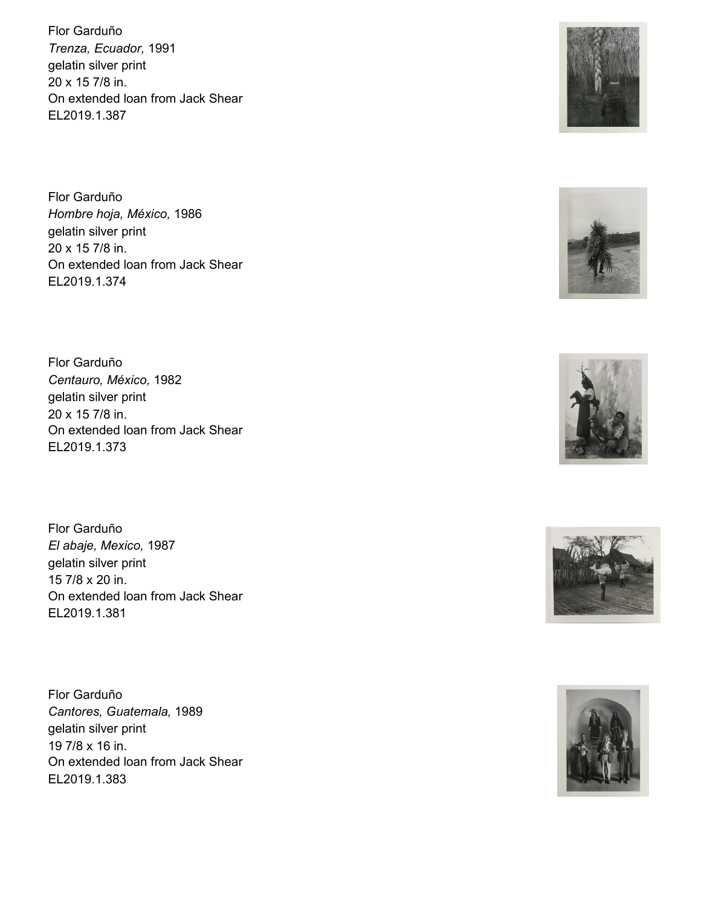Flor Garduño *Trenza, Ecuador,* 1991 gelatin silver print 20 x 15 7/8 in. On extended loan from Jack Shear EL2019.1.387

Flor Garduño *Hombre hoja, México,* 1986 gelatin silver print 20 x 15 7/8 in. On extended loan from Jack Shear EL2019.1.374

Flor Garduño *Centauro, México,* 1982 gelatin silver print 20 x 15 7/8 in. On extended loan from Jack Shear EL2019.1.373

Flor Garduño *El abaje, Mexico,* 1987 gelatin silver print 15 7/8 x 20 in. On extended loan from Jack Shear EL2019.1.381

Flor Garduño *Cantores, Guatemala,* 1989 gelatin silver print 19 7/8 x 16 in. On extended loan from Jack Shear EL2019.1.383









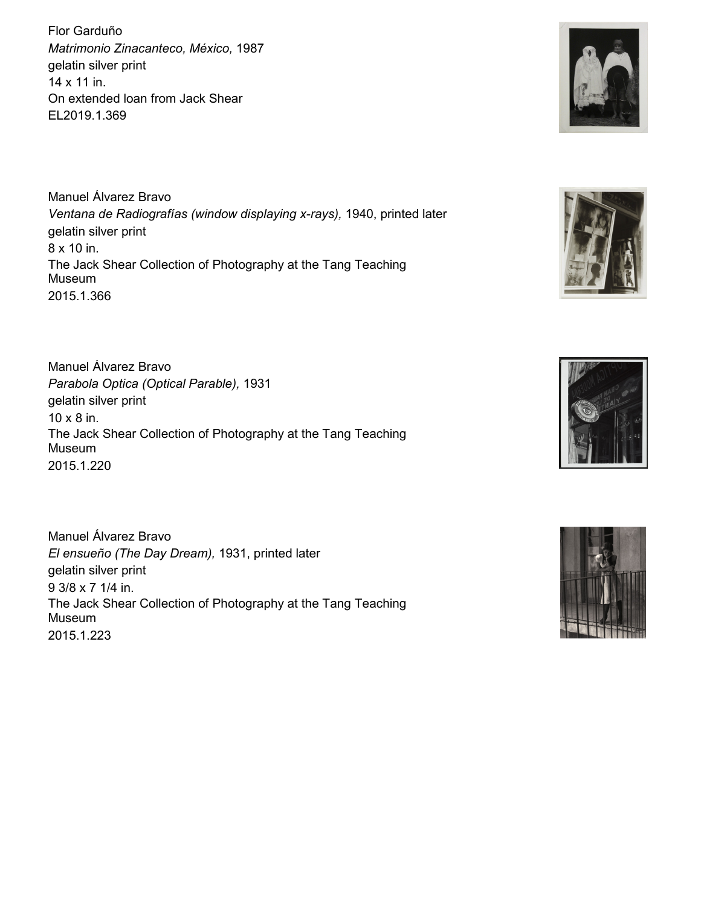Flor Garduño *Matrimonio Zinacanteco, México,* 1987 gelatin silver print 14 x 11 in. On extended loan from Jack Shear EL2019.1.369

Manuel Álvarez Bravo *Ventana de Radiografías (window displaying x-rays),* 1940, printed later gelatin silver print 8 x 10 in. The Jack Shear Collection of Photography at the Tang Teaching Museum 2015.1.366

Manuel Álvarez Bravo *Parabola Optica (Optical Parable),* 1931 gelatin silver print 10 x 8 in. The Jack Shear Collection of Photography at the Tang Teaching Museum 2015.1.220

Manuel Álvarez Bravo *El ensueño (The Day Dream),* 1931, printed later gelatin silver print 9 3/8 x 7 1/4 in. The Jack Shear Collection of Photography at the Tang Teaching Museum 2015.1.223